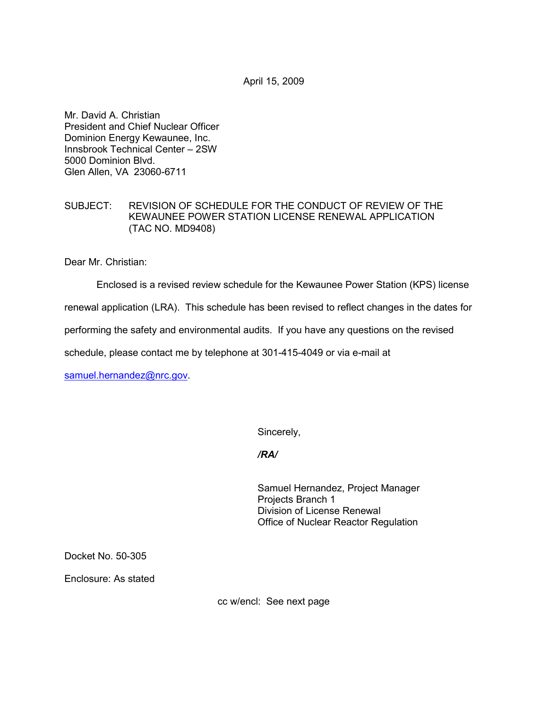April 15, 2009

Mr. David A. Christian President and Chief Nuclear Officer Dominion Energy Kewaunee, Inc. Innsbrook Technical Center – 2SW 5000 Dominion Blvd. Glen Allen, VA 23060-6711

#### SUBJECT: REVISION OF SCHEDULE FOR THE CONDUCT OF REVIEW OF THE KEWAUNEE POWER STATION LICENSE RENEWAL APPLICATION (TAC NO. MD9408)

Dear Mr. Christian:

Enclosed is a revised review schedule for the Kewaunee Power Station (KPS) license

renewal application (LRA). This schedule has been revised to reflect changes in the dates for

performing the safety and environmental audits. If you have any questions on the revised

schedule, please contact me by telephone at 301-415-4049 or via e-mail at

samuel.hernandez@nrc.gov.

Sincerely,

*/RA/* 

Samuel Hernandez, Project Manager Projects Branch 1 Division of License Renewal Office of Nuclear Reactor Regulation

Docket No. 50-305

Enclosure: As stated

cc w/encl: See next page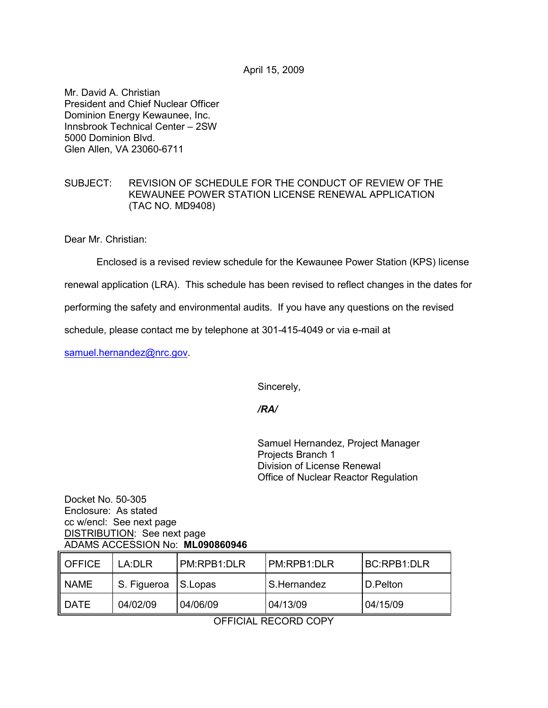April 15, 2009

Mr. David A. Christian President and Chief Nuclear Officer Dominion Energy Kewaunee, Inc. Innsbrook Technical Center – 2SW 5000 Dominion Blvd. Glen Allen, VA 23060-6711

## SUBJECT: REVISION OF SCHEDULE FOR THE CONDUCT OF REVIEW OF THE KEWAUNEE POWER STATION LICENSE RENEWAL APPLICATION (TAC NO. MD9408)

Dear Mr. Christian:

Enclosed is a revised review schedule for the Kewaunee Power Station (KPS) license

renewal application (LRA). This schedule has been revised to reflect changes in the dates for

performing the safety and environmental audits. If you have any questions on the revised

schedule, please contact me by telephone at 301-415-4049 or via e-mail at

samuel.hernandez@nrc.gov.

Sincerely,

## */RA/*

Samuel Hernandez, Project Manager Projects Branch 1 Division of License Renewal Office of Nuclear Reactor Regulation

#### Docket No. 50-305 Enclosure: As stated cc w/encl: See next page DISTRIBUTION: See next page ADAMS ACCESSION No: **ML090860946**

| <b>OFFICE</b> | LA:DLR      | I PM:RPB1:DLR | I PM:RPB1:DLR | I BC:RPB1:DLR |
|---------------|-------------|---------------|---------------|---------------|
| NAME          | S. Figueroa | S.Lopas       | I S.Hernandez | I D.Pelton    |
| <b>DATE</b>   | 04/02/09    | 04/06/09      | 04/13/09      | 04/15/09      |

OFFICIAL RECORD COPY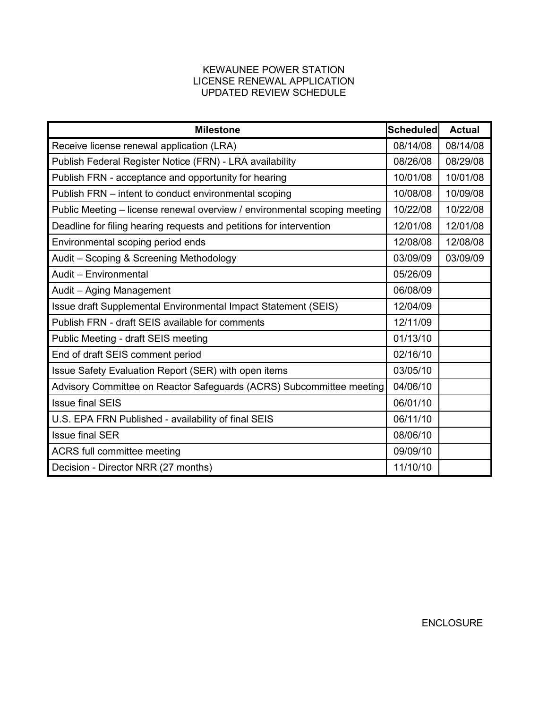## KEWAUNEE POWER STATION LICENSE RENEWAL APPLICATION UPDATED REVIEW SCHEDULE

| <b>Milestone</b>                                                          | Scheduled | <b>Actual</b> |
|---------------------------------------------------------------------------|-----------|---------------|
| Receive license renewal application (LRA)                                 | 08/14/08  | 08/14/08      |
| Publish Federal Register Notice (FRN) - LRA availability                  | 08/26/08  | 08/29/08      |
| Publish FRN - acceptance and opportunity for hearing                      | 10/01/08  | 10/01/08      |
| Publish FRN – intent to conduct environmental scoping                     | 10/08/08  | 10/09/08      |
| Public Meeting - license renewal overview / environmental scoping meeting | 10/22/08  | 10/22/08      |
| Deadline for filing hearing requests and petitions for intervention       | 12/01/08  | 12/01/08      |
| Environmental scoping period ends                                         | 12/08/08  | 12/08/08      |
| Audit - Scoping & Screening Methodology                                   | 03/09/09  | 03/09/09      |
| Audit - Environmental                                                     | 05/26/09  |               |
| Audit - Aging Management                                                  | 06/08/09  |               |
| Issue draft Supplemental Environmental Impact Statement (SEIS)            |           |               |
| Publish FRN - draft SEIS available for comments                           | 12/11/09  |               |
| Public Meeting - draft SEIS meeting                                       |           |               |
| End of draft SEIS comment period                                          |           |               |
| Issue Safety Evaluation Report (SER) with open items                      | 03/05/10  |               |
| Advisory Committee on Reactor Safeguards (ACRS) Subcommittee meeting      | 04/06/10  |               |
| <b>Issue final SEIS</b>                                                   | 06/01/10  |               |
| U.S. EPA FRN Published - availability of final SEIS                       |           |               |
| <b>Issue final SER</b>                                                    | 08/06/10  |               |
| ACRS full committee meeting                                               |           |               |
| Decision - Director NRR (27 months)                                       | 11/10/10  |               |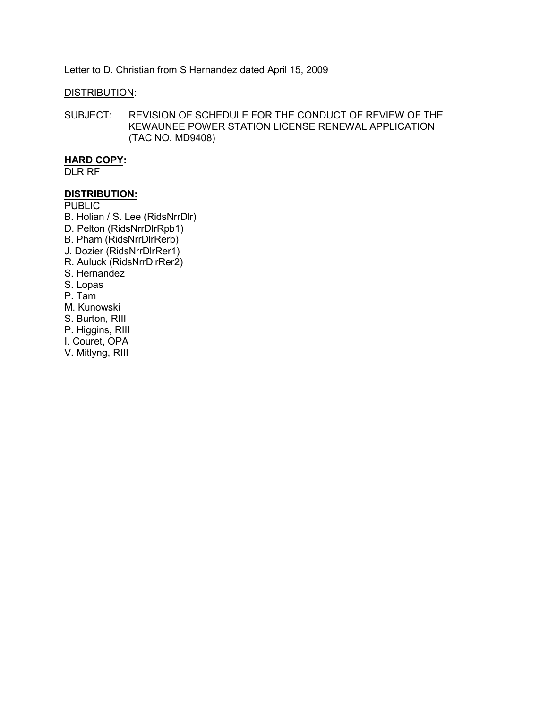#### Letter to D. Christian from S Hernandez dated April 15, 2009

#### DISTRIBUTION:

SUBJECT: REVISION OF SCHEDULE FOR THE CONDUCT OF REVIEW OF THE KEWAUNEE POWER STATION LICENSE RENEWAL APPLICATION (TAC NO. MD9408)

# **HARD COPY:**

DLR RF

#### **DISTRIBUTION:**

**PUBLIC** 

- B. Holian / S. Lee (RidsNrrDlr)
- D. Pelton (RidsNrrDlrRpb1)
- B. Pham (RidsNrrDlrRerb)
- J. Dozier (RidsNrrDlrRer1)
- R. Auluck (RidsNrrDlrRer2)
- S. Hernandez
- S. Lopas
- P. Tam
- M. Kunowski
- S. Burton, RIII
- P. Higgins, RIII
- I. Couret, OPA
- V. Mitlyng, RIII